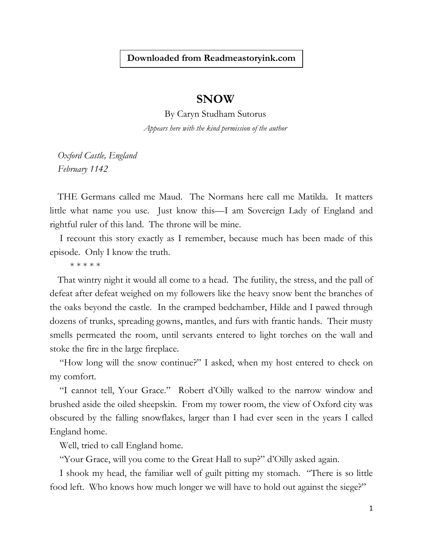## **Downloaded from Readmeastoryink.com**

## **SNOW**

By Caryn Studham Sutorus *Appears here with the kind permission of the author*

*Oxford Castle, England February 1142*

THE Germans called me Maud. The Normans here call me Matilda. It matters little what name you use. Just know this—I am Sovereign Lady of England and rightful ruler of this land. The throne will be mine.

I recount this story exactly as I remember, because much has been made of this episode. Only I know the truth.

\* \* \* \* \*

That wintry night it would all come to a head. The futility, the stress, and the pall of defeat after defeat weighed on my followers like the heavy snow bent the branches of the oaks beyond the castle. In the cramped bedchamber, Hilde and I pawed through dozens of trunks, spreading gowns, mantles, and furs with frantic hands. Their musty smells permeated the room, until servants entered to light torches on the wall and stoke the fire in the large fireplace.

"How long will the snow continue?" I asked, when my host entered to check on my comfort.

"I cannot tell, Your Grace." Robert d'Oilly walked to the narrow window and brushed aside the oiled sheepskin. From my tower room, the view of Oxford city was obscured by the falling snowflakes, larger than I had ever seen in the years I called England home.

Well, tried to call England home.

"Your Grace, will you come to the Great Hall to sup?" d'Oilly asked again.

I shook my head, the familiar well of guilt pitting my stomach. "There is so little food left. Who knows how much longer we will have to hold out against the siege?"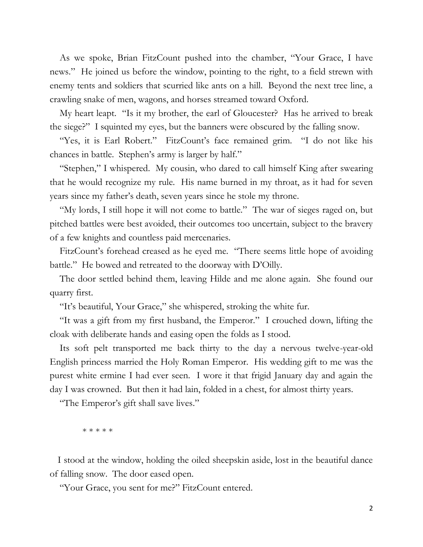As we spoke, Brian FitzCount pushed into the chamber, "Your Grace, I have news." He joined us before the window, pointing to the right, to a field strewn with enemy tents and soldiers that scurried like ants on a hill. Beyond the next tree line, a crawling snake of men, wagons, and horses streamed toward Oxford.

My heart leapt. "Is it my brother, the earl of Gloucester? Has he arrived to break the siege?" I squinted my eyes, but the banners were obscured by the falling snow.

"Yes, it is Earl Robert." FitzCount's face remained grim. "I do not like his chances in battle. Stephen's army is larger by half."

"Stephen," I whispered. My cousin, who dared to call himself King after swearing that he would recognize my rule. His name burned in my throat, as it had for seven years since my father's death, seven years since he stole my throne.

"My lords, I still hope it will not come to battle." The war of sieges raged on, but pitched battles were best avoided, their outcomes too uncertain, subject to the bravery of a few knights and countless paid mercenaries.

FitzCount's forehead creased as he eyed me. "There seems little hope of avoiding battle." He bowed and retreated to the doorway with D'Oilly.

The door settled behind them, leaving Hilde and me alone again. She found our quarry first.

"It's beautiful, Your Grace," she whispered, stroking the white fur.

"It was a gift from my first husband, the Emperor." I crouched down, lifting the cloak with deliberate hands and easing open the folds as I stood.

Its soft pelt transported me back thirty to the day a nervous twelve-year-old English princess married the Holy Roman Emperor. His wedding gift to me was the purest white ermine I had ever seen. I wore it that frigid January day and again the day I was crowned. But then it had lain, folded in a chest, for almost thirty years.

"The Emperor's gift shall save lives."

\* \* \* \* \*

I stood at the window, holding the oiled sheepskin aside, lost in the beautiful dance of falling snow. The door eased open.

"Your Grace, you sent for me?" FitzCount entered.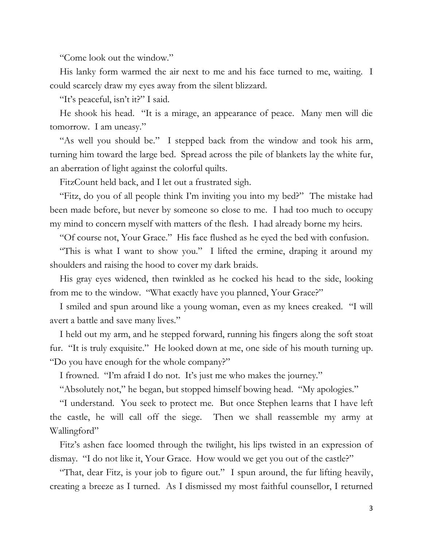"Come look out the window."

His lanky form warmed the air next to me and his face turned to me, waiting. I could scarcely draw my eyes away from the silent blizzard.

"It's peaceful, isn't it?" I said.

He shook his head. "It is a mirage, an appearance of peace. Many men will die tomorrow. I am uneasy."

"As well you should be." I stepped back from the window and took his arm, turning him toward the large bed. Spread across the pile of blankets lay the white fur, an aberration of light against the colorful quilts.

FitzCount held back, and I let out a frustrated sigh.

"Fitz, do you of all people think I'm inviting you into my bed?" The mistake had been made before, but never by someone so close to me. I had too much to occupy my mind to concern myself with matters of the flesh. I had already borne my heirs.

"Of course not, Your Grace." His face flushed as he eyed the bed with confusion.

"This is what I want to show you." I lifted the ermine, draping it around my shoulders and raising the hood to cover my dark braids.

His gray eyes widened, then twinkled as he cocked his head to the side, looking from me to the window. "What exactly have you planned, Your Grace?"

I smiled and spun around like a young woman, even as my knees creaked. "I will avert a battle and save many lives."

I held out my arm, and he stepped forward, running his fingers along the soft stoat fur. "It is truly exquisite." He looked down at me, one side of his mouth turning up. "Do you have enough for the whole company?"

I frowned. "I'm afraid I do not. It's just me who makes the journey."

"Absolutely not," he began, but stopped himself bowing head. "My apologies."

"I understand. You seek to protect me. But once Stephen learns that I have left the castle, he will call off the siege. Then we shall reassemble my army at Wallingford"

Fitz's ashen face loomed through the twilight, his lips twisted in an expression of dismay. "I do not like it, Your Grace. How would we get you out of the castle?"

"That, dear Fitz, is your job to figure out." I spun around, the fur lifting heavily, creating a breeze as I turned. As I dismissed my most faithful counsellor, I returned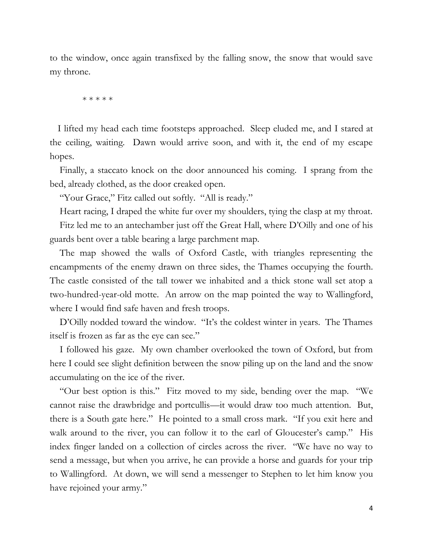to the window, once again transfixed by the falling snow, the snow that would save my throne.

\* \* \* \* \*

I lifted my head each time footsteps approached. Sleep eluded me, and I stared at the ceiling, waiting. Dawn would arrive soon, and with it, the end of my escape hopes.

Finally, a staccato knock on the door announced his coming. I sprang from the bed, already clothed, as the door creaked open.

"Your Grace," Fitz called out softly. "All is ready."

Heart racing, I draped the white fur over my shoulders, tying the clasp at my throat.

Fitz led me to an antechamber just off the Great Hall, where D'Oilly and one of his guards bent over a table bearing a large parchment map.

The map showed the walls of Oxford Castle, with triangles representing the encampments of the enemy drawn on three sides, the Thames occupying the fourth. The castle consisted of the tall tower we inhabited and a thick stone wall set atop a two-hundred-year-old motte. An arrow on the map pointed the way to Wallingford, where I would find safe haven and fresh troops.

D'Oilly nodded toward the window. "It's the coldest winter in years. The Thames itself is frozen as far as the eye can see."

I followed his gaze. My own chamber overlooked the town of Oxford, but from here I could see slight definition between the snow piling up on the land and the snow accumulating on the ice of the river.

"Our best option is this." Fitz moved to my side, bending over the map. "We cannot raise the drawbridge and portcullis—it would draw too much attention. But, there is a South gate here." He pointed to a small cross mark. "If you exit here and walk around to the river, you can follow it to the earl of Gloucester's camp." His index finger landed on a collection of circles across the river. "We have no way to send a message, but when you arrive, he can provide a horse and guards for your trip to Wallingford. At down, we will send a messenger to Stephen to let him know you have rejoined your army."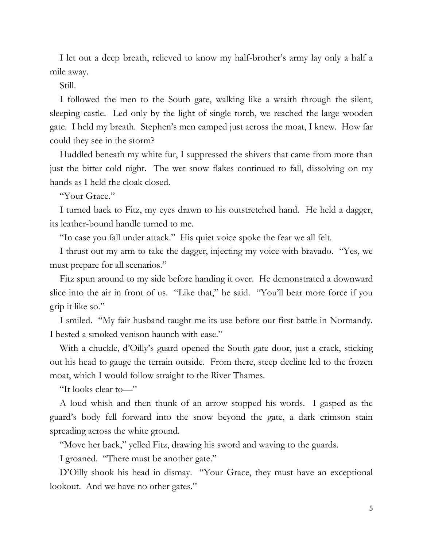I let out a deep breath, relieved to know my half-brother's army lay only a half a mile away.

Still.

I followed the men to the South gate, walking like a wraith through the silent, sleeping castle. Led only by the light of single torch, we reached the large wooden gate. I held my breath. Stephen's men camped just across the moat, I knew. How far could they see in the storm?

Huddled beneath my white fur, I suppressed the shivers that came from more than just the bitter cold night. The wet snow flakes continued to fall, dissolving on my hands as I held the cloak closed.

"Your Grace."

I turned back to Fitz, my eyes drawn to his outstretched hand. He held a dagger, its leather-bound handle turned to me.

"In case you fall under attack." His quiet voice spoke the fear we all felt.

I thrust out my arm to take the dagger, injecting my voice with bravado. "Yes, we must prepare for all scenarios."

Fitz spun around to my side before handing it over. He demonstrated a downward slice into the air in front of us. "Like that," he said. "You'll bear more force if you grip it like so."

I smiled. "My fair husband taught me its use before our first battle in Normandy. I bested a smoked venison haunch with ease."

With a chuckle, d'Oilly's guard opened the South gate door, just a crack, sticking out his head to gauge the terrain outside. From there, steep decline led to the frozen moat, which I would follow straight to the River Thames.

"It looks clear to—"

A loud whish and then thunk of an arrow stopped his words. I gasped as the guard's body fell forward into the snow beyond the gate, a dark crimson stain spreading across the white ground.

"Move her back," yelled Fitz, drawing his sword and waving to the guards.

I groaned. "There must be another gate."

D'Oilly shook his head in dismay. "Your Grace, they must have an exceptional lookout. And we have no other gates."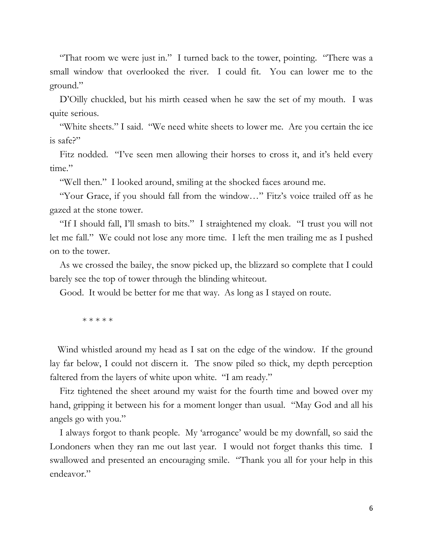"That room we were just in." I turned back to the tower, pointing. "There was a small window that overlooked the river. I could fit. You can lower me to the ground."

D'Oilly chuckled, but his mirth ceased when he saw the set of my mouth. I was quite serious.

"White sheets." I said. "We need white sheets to lower me. Are you certain the ice is safe?"

Fitz nodded. "I've seen men allowing their horses to cross it, and it's held every time."

"Well then." I looked around, smiling at the shocked faces around me.

"Your Grace, if you should fall from the window…" Fitz's voice trailed off as he gazed at the stone tower.

"If I should fall, I'll smash to bits." I straightened my cloak. "I trust you will not let me fall." We could not lose any more time. I left the men trailing me as I pushed on to the tower.

As we crossed the bailey, the snow picked up, the blizzard so complete that I could barely see the top of tower through the blinding whiteout.

Good. It would be better for me that way. As long as I stayed on route.

\* \* \* \* \*

Wind whistled around my head as I sat on the edge of the window. If the ground lay far below, I could not discern it. The snow piled so thick, my depth perception faltered from the layers of white upon white. "I am ready."

Fitz tightened the sheet around my waist for the fourth time and bowed over my hand, gripping it between his for a moment longer than usual. "May God and all his angels go with you."

I always forgot to thank people. My 'arrogance' would be my downfall, so said the Londoners when they ran me out last year. I would not forget thanks this time. I swallowed and presented an encouraging smile. "Thank you all for your help in this endeavor."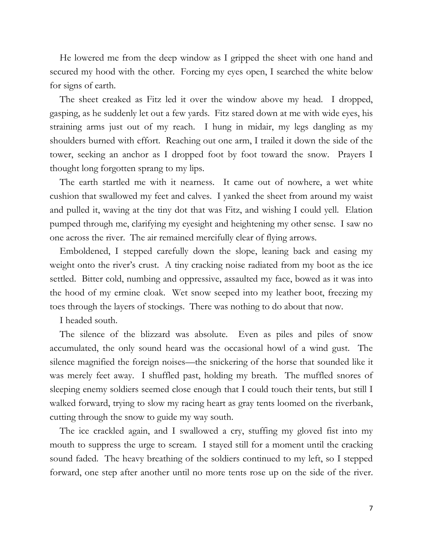He lowered me from the deep window as I gripped the sheet with one hand and secured my hood with the other. Forcing my eyes open, I searched the white below for signs of earth.

The sheet creaked as Fitz led it over the window above my head. I dropped, gasping, as he suddenly let out a few yards. Fitz stared down at me with wide eyes, his straining arms just out of my reach. I hung in midair, my legs dangling as my shoulders burned with effort. Reaching out one arm, I trailed it down the side of the tower, seeking an anchor as I dropped foot by foot toward the snow. Prayers I thought long forgotten sprang to my lips.

The earth startled me with it nearness. It came out of nowhere, a wet white cushion that swallowed my feet and calves. I yanked the sheet from around my waist and pulled it, waving at the tiny dot that was Fitz, and wishing I could yell. Elation pumped through me, clarifying my eyesight and heightening my other sense. I saw no one across the river. The air remained mercifully clear of flying arrows.

Emboldened, I stepped carefully down the slope, leaning back and easing my weight onto the river's crust. A tiny cracking noise radiated from my boot as the ice settled. Bitter cold, numbing and oppressive, assaulted my face, bowed as it was into the hood of my ermine cloak. Wet snow seeped into my leather boot, freezing my toes through the layers of stockings. There was nothing to do about that now.

I headed south.

The silence of the blizzard was absolute. Even as piles and piles of snow accumulated, the only sound heard was the occasional howl of a wind gust. The silence magnified the foreign noises—the snickering of the horse that sounded like it was merely feet away. I shuffled past, holding my breath. The muffled snores of sleeping enemy soldiers seemed close enough that I could touch their tents, but still I walked forward, trying to slow my racing heart as gray tents loomed on the riverbank, cutting through the snow to guide my way south.

The ice crackled again, and I swallowed a cry, stuffing my gloved fist into my mouth to suppress the urge to scream. I stayed still for a moment until the cracking sound faded. The heavy breathing of the soldiers continued to my left, so I stepped forward, one step after another until no more tents rose up on the side of the river.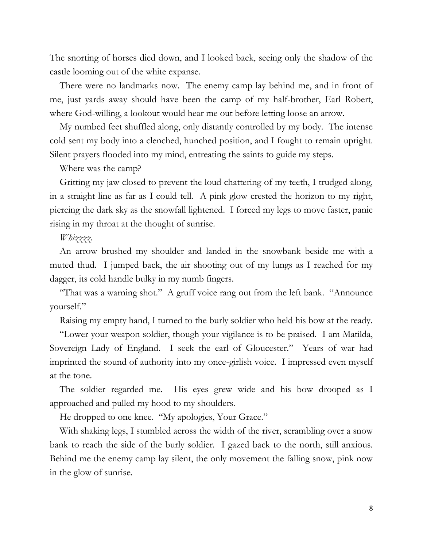The snorting of horses died down, and I looked back, seeing only the shadow of the castle looming out of the white expanse.

There were no landmarks now. The enemy camp lay behind me, and in front of me, just yards away should have been the camp of my half-brother, Earl Robert, where God-willing, a lookout would hear me out before letting loose an arrow.

My numbed feet shuffled along, only distantly controlled by my body. The intense cold sent my body into a clenched, hunched position, and I fought to remain upright. Silent prayers flooded into my mind, entreating the saints to guide my steps.

Where was the camp?

Gritting my jaw closed to prevent the loud chattering of my teeth, I trudged along, in a straight line as far as I could tell. A pink glow crested the horizon to my right, piercing the dark sky as the snowfall lightened. I forced my legs to move faster, panic rising in my throat at the thought of sunrise.

## *Whizzzz.*

An arrow brushed my shoulder and landed in the snowbank beside me with a muted thud. I jumped back, the air shooting out of my lungs as I reached for my dagger, its cold handle bulky in my numb fingers.

"That was a warning shot." A gruff voice rang out from the left bank. "Announce yourself."

Raising my empty hand, I turned to the burly soldier who held his bow at the ready.

"Lower your weapon soldier, though your vigilance is to be praised. I am Matilda, Sovereign Lady of England. I seek the earl of Gloucester." Years of war had imprinted the sound of authority into my once-girlish voice. I impressed even myself at the tone.

The soldier regarded me. His eyes grew wide and his bow drooped as I approached and pulled my hood to my shoulders.

He dropped to one knee. "My apologies, Your Grace."

With shaking legs, I stumbled across the width of the river, scrambling over a snow bank to reach the side of the burly soldier. I gazed back to the north, still anxious. Behind me the enemy camp lay silent, the only movement the falling snow, pink now in the glow of sunrise.